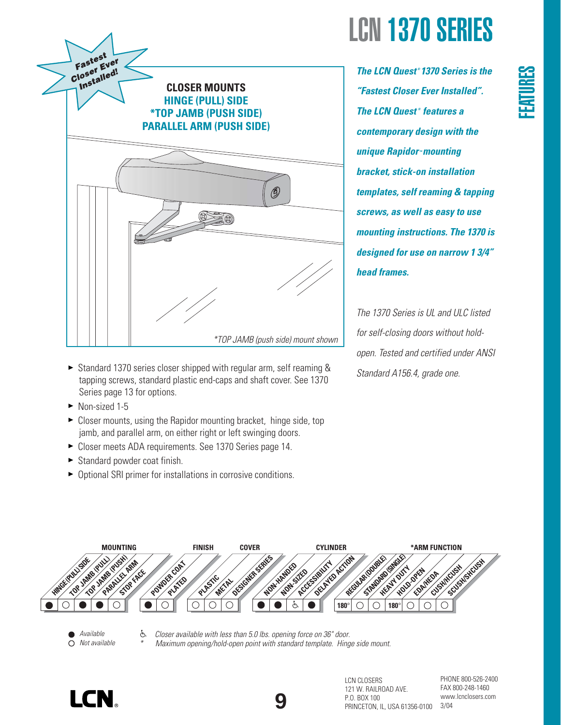

- ► Standard 1370 series closer shipped with regular arm, self reaming & tapping screws, standard plastic end-caps and shaft cover. See 1370 Series page 13 for options.
- ▶ Non-sized 1-5
- ► Closer mounts, using the Rapidor mounting bracket, hinge side, top jamb, and parallel arm, on either right or left swinging doors.
- Closer meets ADA requirements. See 1370 Series page 14.
- Standard powder coat finish.
- ▶ Optional SRI primer for installations in corrosive conditions.

*The LCN Quest ® 1370 Series is the "Fastest Closer Ever Installed". The LCN Quest ® features a contemporary design with the* **unique Rapidor ™ mounting** *bracket, stick-on installation templates, self reaming & tapping screws, as well as easy to use mounting instructions. The 1370 is designed for use on narrow 1 3/4" head frames.* 

*The 1370 Series is UL and ULC listed for self-closing doors without holdopen. Tested and certified under ANSI Standard A156.4, grade one.*



- *Available Not available*
- È. *Closer available with less than 5.0 lbs. opening force on 36" door. \* Maximum opening/hold-open point with standard template. Hinge side mount.*

**9**





PHONE 800-526-2400 FAX 800-248-1460 www.lcnclosers.com 3/04

**FEATURES**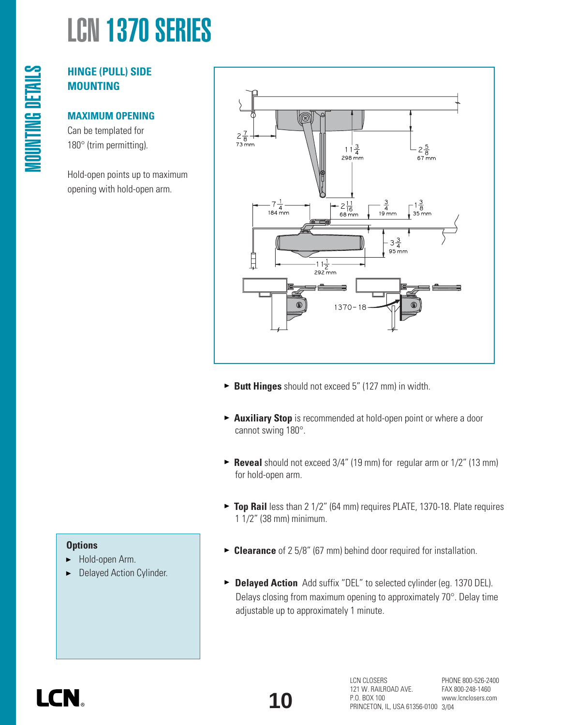# **HINGE (PULL) SIDE MOUNTING**

MOUNTING DETAILS

**MOUNTING DETAILS** 

# **MAXIMUM OPENING**

Can be templated for 180° (trim permitting).

Hold-open points up to maximum opening with hold-open arm.



- **Butt Hinges** should not exceed 5" (127 mm) in width.
- **Auxiliary Stop** is recommended at hold-open point or where a door cannot swing 180°.
- ► **Reveal** should not exceed 3/4" (19 mm) for regular arm or 1/2" (13 mm) for hold-open arm.
- ▶ **Top Rail** less than 2 1/2" (64 mm) requires PLATE, 1370-18. Plate requires 1 1/2" (38 mm) minimum.

# **Options**

- Hold-open Arm. ▶
- Delayed Action Cylinder.
- **Clearance** of 2 5/8" (67 mm) behind door required for installation.
- **Delayed Action** Add suffix "DEL" to selected cylinder (eg. 1370 DEL). Delays closing from maximum opening to approximately 70°. Delay time adjustable up to approximately 1 minute.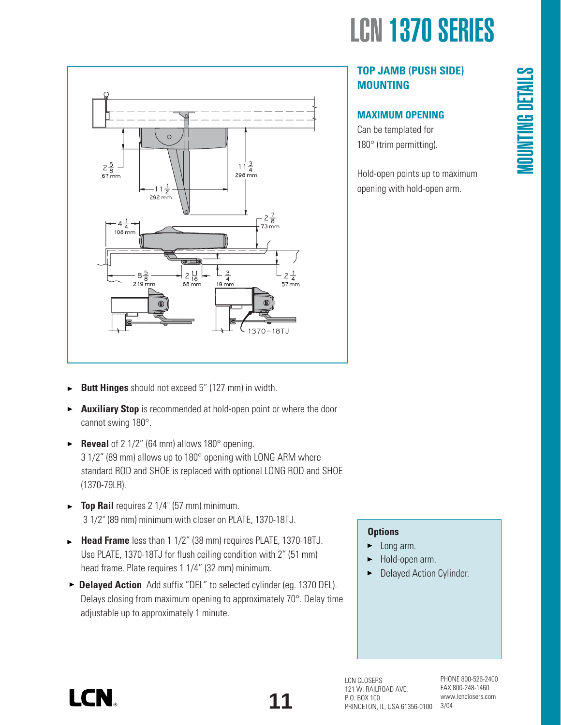

# **TOP JAMB (PUSH SIDE) MOUNTING**

# **MAXIMUM OPENING**

Can be templated for 180° (trim permitting).

Hold-open points up to maximum opening with hold-open arm.



- **Butt Hinges** should not exceed 5" (127 mm) in width. ь
- **Auxiliary Stop** is recommended at hold-open point or where the door cannot swing 180°.
- **Reveal** of 2 1/2" (64 mm) allows 180° opening. 3 1/2" (89 mm) allows up to 180° opening with LONG ARM where standard ROD and SHOE is replaced with optional LONG ROD and SHOE (1370-79LR).
- **Top Rail** requires 2 1/4" (57 mm) minimum. 3 1/2" (89 mm) minimum with closer on PLATE, 1370-18TJ.
- **Head Frame** less than 1 1/2" (38 mm) requires PLATE, 1370-18TJ. Use PLATE, 1370-18TJ for flush ceiling condition with 2" (51 mm) head frame. Plate requires 1 1/4" (32 mm) minimum.
- ▶ **Delayed Action** Add suffix "DEL" to selected cylinder (eg. 1370 DEL). Delays closing from maximum opening to approximately 70°. Delay time adjustable up to approximately 1 minute.

# **Options**

- Long arm. ►
- Hold-open arm.
- **Delayed Action Cylinder.**

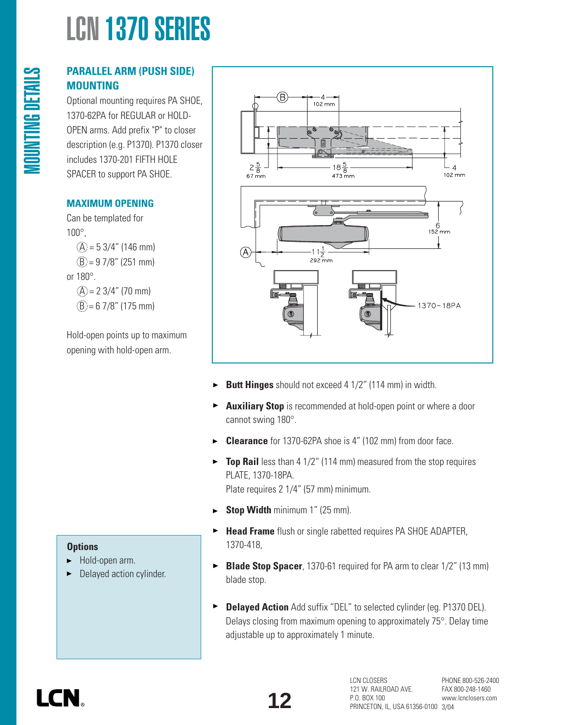# **PARALLEL ARM (PUSH SIDE) MOUNTING**

Optional mounting requires PA SHOE, 1370-62PA for REGULAR or HOLD-OPEN arms. Add prefix "P" to closer description (e.g. P1370). P1370 closer includes 1370-201 FIFTH HOLE SPACER to support PA SHOE.

# **MAXIMUM OPENING**

MOUNTING DETAILS

**MOUNTING DETAILS** 

Can be templated for 100°,  $(A) = 53/4$ " (146 mm)  $(B) = 97/8$ " (251 mm) or 180°.  $(A) = 23/4$ " (70 mm)  $(B) = 67/8"$  (175 mm)

Hold-open points up to maximum opening with hold-open arm.



- **Butt Hinges** should not exceed 4 1/2" (114 mm) in width. ▶
- **Auxiliary Stop** is recommended at hold-open point or where a door  $\blacktriangleright$ cannot swing 180°.
- **Clearance** for 1370-62PA shoe is 4" (102 mm) from door face. ь
- **Top Rail** less than 4 1/2" (114 mm) measured from the stop requires PLATE, 1370-18PA.

Plate requires 2 1/4" (57 mm) minimum.

- **Stop Width** minimum 1" (25 mm).  $\blacktriangleright$
- **Head Frame** flush or single rabetted requires PA SHOE ADAPTER,  $\blacktriangleright$ 1370-418,
- **Blade Stop Spacer**, 1370-61 required for PA arm to clear 1/2" (13 mm)  $\blacktriangleright$ blade stop.
- **Delayed Action** Add suffix "DEL" to selected cylinder (eg. P1370 DEL).  $\blacktriangleright$ Delays closing from maximum opening to approximately 75°. Delay time adjustable up to approximately 1 minute.

# **Options**

- Hold-open arm. ▶
- Delayed action cylinder.

I CN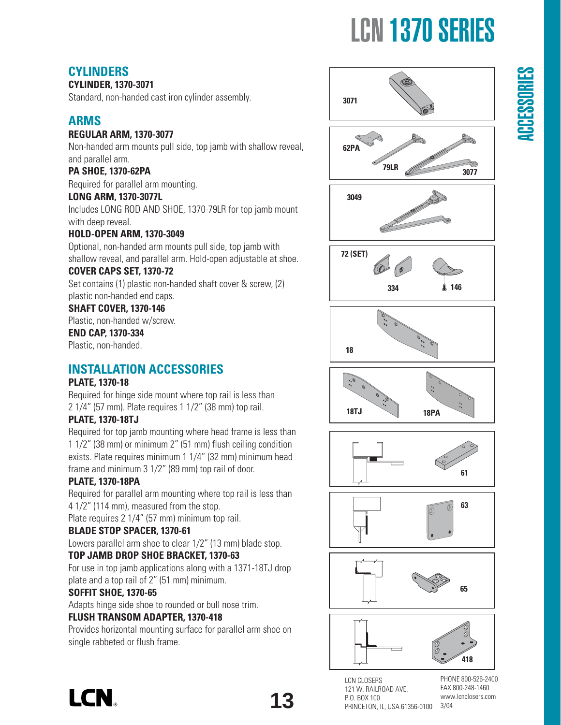# ACCESSORIES

# **CYLINDERS**

# **CYLINDER, 1370-3071**

Standard, non-handed cast iron cylinder assembly.

# **ARMS**

# **REGULAR ARM, 1370-3077**

Non-handed arm mounts pull side, top jamb with shallow reveal, and parallel arm.

# **PA SHOE, 1370-62PA**

Required for parallel arm mounting.

# **LONG ARM, 1370-3077L**

Includes LONG ROD AND SHOE, 1370-79LR for top jamb mount with deep reveal.

# **HOLD-OPEN ARM, 1370-3049**

Optional, non-handed arm mounts pull side, top jamb with shallow reveal, and parallel arm. Hold-open adjustable at shoe.

# **COVER CAPS SET, 1370-72**

Set contains (1) plastic non-handed shaft cover & screw, (2) plastic non-handed end caps.

# **SHAFT COVER, 1370-146**

Plastic, non-handed w/screw.

# **END CAP, 1370-334**

Plastic, non-handed.

# **INSTALLATION ACCESSORIES**

# **PLATE, 1370-18**

Required for hinge side mount where top rail is less than 2 1/4" (57 mm). Plate requires 1 1/2" (38 mm) top rail.

# **PLATE, 1370-18TJ**

Required for top jamb mounting where head frame is less than 1 1/2" (38 mm) or minimum 2" (51 mm) flush ceiling condition exists. Plate requires minimum 1 1/4" (32 mm) minimum head frame and minimum 3 1/2" (89 mm) top rail of door.

# **PLATE, 1370-18PA**

Required for parallel arm mounting where top rail is less than 4 1/2" (114 mm), measured from the stop.

Plate requires 2 1/4" (57 mm) minimum top rail.

# **BLADE STOP SPACER, 1370-61**

Lowers parallel arm shoe to clear 1/2" (13 mm) blade stop.

# **TOP JAMB DROP SHOE BRACKET, 1370-63**

For use in top jamb applications along with a 1371-18TJ drop plate and a top rail of 2" (51 mm) minimum.

# **SOFFIT SHOE, 1370-65**

Adapts hinge side shoe to rounded or bull nose trim.

# **FLUSH TRANSOM ADAPTER, 1370-418**

Provides horizontal mounting surface for parallel arm shoe on single rabbeted or flush frame.



**3071**















LCN CLOSERS 121 W. RAILROAD AVE. P.O. BOX 100 PRINCETON, IL, USA 61356-0100

PHONE 800-526-2400 FAX 800-248-1460 www.lcnclosers.com 3/04

**LCN** 

**13**